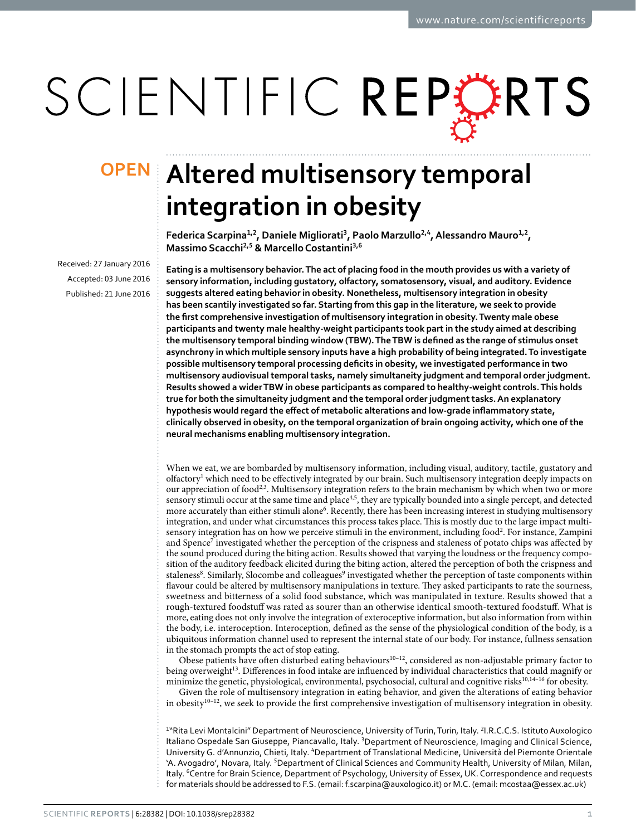# SCIENTIFIC REPORTS

Received: 27 January 2016 accepted: 03 June 2016 Published: 21 June 2016

## **Altered multisensory temporal OPENintegration in obesity**

**Federica Scarpina1,2, Daniele Migliorati3, Paolo Marzullo2,4, Alessandro Mauro1,2, Massimo Scacchi2,5 & Marcello Costantini3,6**

**Eating is a multisensory behavior. The act of placing food in the mouth provides us with a variety of sensory information, including gustatory, olfactory, somatosensory, visual, and auditory. Evidence suggests altered eating behavior in obesity. Nonetheless, multisensory integration in obesity has been scantily investigated so far. Starting from this gap in the literature, we seek to provide the first comprehensive investigation of multisensory integration in obesity. Twenty male obese participants and twenty male healthy-weight participants took part in the study aimed at describing the multisensory temporal binding window (TBW). The TBW is defined as the range of stimulus onset asynchrony in which multiple sensory inputs have a high probability of being integrated. To investigate possible multisensory temporal processing deficits in obesity, we investigated performance in two multisensory audiovisual temporal tasks, namely simultaneity judgment and temporal order judgment. Results showed a wider TBW in obese participants as compared to healthy-weight controls. This holds true for both the simultaneity judgment and the temporal order judgment tasks. An explanatory hypothesis would regard the effect of metabolic alterations and low-grade inflammatory state, clinically observed in obesity, on the temporal organization of brain ongoing activity, which one of the neural mechanisms enabling multisensory integration.**

When we eat, we are bombarded by multisensory information, including visual, auditory, tactile, gustatory and olfactory<sup>[1](#page-4-0)</sup> which need to be effectively integrated by our brain. Such multisensory integration deeply impacts on our appreciation of food<sup>[2,](#page-4-1)3</sup>. Multisensory integration refers to the brain mechanism by which when two or more sensory stimuli occur at the same time and place<sup>4[,5](#page-4-4)</sup>, they are typically bounded into a single percept, and detected more accurately than either stimuli alone<sup>[6](#page-4-5)</sup>. Recently, there has been increasing interest in studying multisensory integration, and under what circumstances this process takes place. This is mostly due to the large impact multisensory integration has on how we perceive stimuli in the environment, including food<sup>2</sup>. For instance, Zampini and Spence<sup>7</sup> investigated whether the perception of the crispness and staleness of potato chips was affected by the sound produced during the biting action. Results showed that varying the loudness or the frequency composition of the auditory feedback elicited during the biting action, altered the perception of both the crispness and staleness<sup>8</sup>. Similarly, Slocombe and colleagues<sup>9</sup> investigated whether the perception of taste components within flavour could be altered by multisensory manipulations in texture. They asked participants to rate the sourness, sweetness and bitterness of a solid food substance, which was manipulated in texture. Results showed that a rough-textured foodstuff was rated as sourer than an otherwise identical smooth-textured foodstuff. What is more, eating does not only involve the integration of exteroceptive information, but also information from within the body, i.e. interoception. Interoception, defined as the sense of the physiological condition of the body, is a ubiquitous information channel used to represent the internal state of our body. For instance, fullness sensation in the stomach prompts the act of stop eating.

Obese patients have often disturbed eating behaviours<sup>10-12</sup>, considered as non-adjustable primary factor to being overweight<sup>13</sup>. Differences in food intake are influenced by individual characteristics that could magnify or minimize the genetic, physiological, environmental, psychosocial, cultural and cognitive risks<sup>[10](#page-4-9),14-16</sup> for obesity.

Given the role of multisensory integration in eating behavior, and given the alterations of eating behavior in obesity $10-12$ , we seek to provide the first comprehensive investigation of multisensory integration in obesity.

<sup>1</sup>"Rita Levi Montalcini" Department of Neuroscience, University of Turin, Turin, Italy. <sup>2</sup>I.R.C.C.S. Istituto Auxologico Italiano Ospedale San Giuseppe, Piancavallo, Italy. <sup>3</sup>Department of Neuroscience, Imaging and Clinical Science, University G. d'Annunzio, Chieti, Italy. <sup>4</sup>Department of Translational Medicine, Università del Piemonte Orientale 'A. Avogadro', Novara, Italy. <sup>5</sup>Department of Clinical Sciences and Community Health, University of Milan, Milan, Italy. <sup>6</sup>Centre for Brain Science, Department of Psychology, University of Essex, UK. Correspondence and requests for materials should be addressed to F.S. (email: [f.scarpina@auxologico.it](mailto:f.scarpina@auxologico.it)) or M.C. (email: [mcostaa@essex.ac.uk](mailto:mcostaa@essex.ac.uk))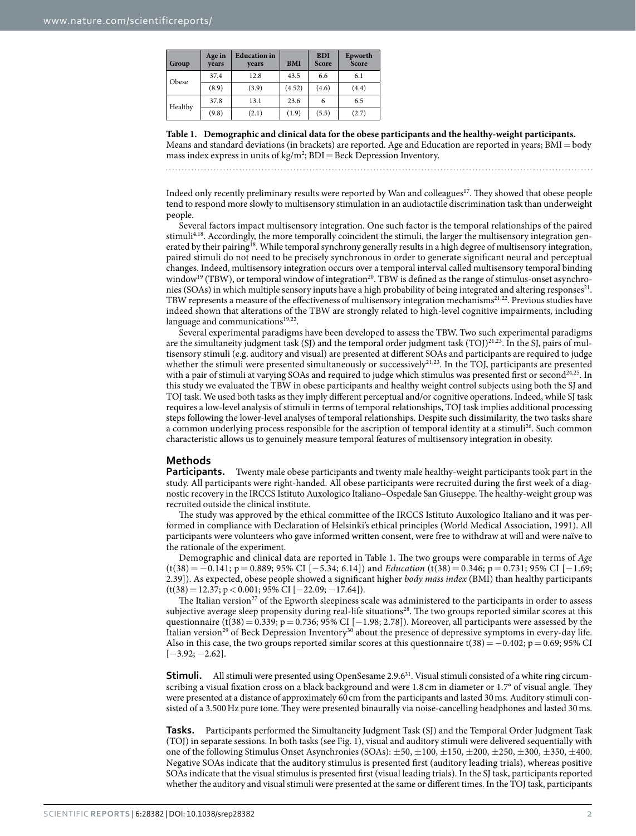<span id="page-1-0"></span>

| Group   | Age in<br>vears | <b>Education</b> in<br>vears | <b>BMI</b> | <b>BDI</b><br>Score | Epworth<br>Score |
|---------|-----------------|------------------------------|------------|---------------------|------------------|
| Obese   | 37.4            | 12.8                         | 43.5       | 6.6                 | 6.1              |
|         | (8.9)           | (3.9)                        | (4.52)     | (4.6)               | (4.4)            |
| Healthy | 37.8            | 13.1                         | 23.6       | 6                   | 6.5              |
|         | (9.8)           | (2.1)                        | (1.9)      | (5.5)               | (2.7)            |

**Table 1. Demographic and clinical data for the obese participants and the healthy-weight participants.** Means and standard deviations (in brackets) are reported. Age and Education are reported in years; BMI=body

mass index express in units of  $kg/m^2$ ;  $BDI = Beck$  Depression Inventory. 

Indeed only recently preliminary results were reported by Wan and colleagues<sup>17</sup>. They showed that obese people tend to respond more slowly to multisensory stimulation in an audiotactile discrimination task than underweight people.

Several factors impact multisensory integration. One such factor is the temporal relationships of the paired stimuli<sup>[4,](#page-4-3)18</sup>. Accordingly, the more temporally coincident the stimuli, the larger the multisensory integration generated by their pairing<sup>18</sup>. While temporal synchrony generally results in a high degree of multisensory integration, paired stimuli do not need to be precisely synchronous in order to generate significant neural and perceptual changes. Indeed, multisensory integration occurs over a temporal interval called multisensory temporal binding window<sup>19</sup> (TBW), or temporal window of integration<sup>20</sup>. TBW is defined as the range of stimulus-onset asynchronies (SOAs) in which multiple sensory inputs have a high probability of being integrated and altering responses<sup>21</sup>. TBW represents a measure of the effectiveness of multisensory integration mechanisms[21](#page-5-4),[22](#page-5-5). Previous studies have indeed shown that alterations of the TBW are strongly related to high-level cognitive impairments, including language and communications<sup>19,22</sup>.

Several experimental paradigms have been developed to assess the TBW. Two such experimental paradigms are the simultaneity judgment task (SJ) and the temporal order judgment task  $(TOJ)^{21,23}$  $(TOJ)^{21,23}$  $(TOJ)^{21,23}$ . In the SJ, pairs of multisensory stimuli (e.g. auditory and visual) are presented at different SOAs and participants are required to judge whether the stimuli were presented simultaneously or successively<sup>[21,](#page-5-4)23</sup>. In the TOJ, participants are presented with a pair of stimuli at varying SOAs and required to judge which stimulus was presented first or second<sup>24,25</sup>. In this study we evaluated the TBW in obese participants and healthy weight control subjects using both the SJ and TOJ task. We used both tasks as they imply different perceptual and/or cognitive operations. Indeed, while SJ task requires a low-level analysis of stimuli in terms of temporal relationships, TOJ task implies additional processing steps following the lower-level analyses of temporal relationships. Despite such dissimilarity, the two tasks share a common underlying process responsible for the ascription of temporal identity at a stimuli<sup>26</sup>. Such common characteristic allows us to genuinely measure temporal features of multisensory integration in obesity.

#### **Methods**

**Participants.** Twenty male obese participants and twenty male healthy-weight participants took part in the study. All participants were right-handed. All obese participants were recruited during the first week of a diagnostic recovery in the IRCCS Istituto Auxologico Italiano–Ospedale San Giuseppe. The healthy-weight group was recruited outside the clinical institute.

The study was approved by the ethical committee of the IRCCS Istituto Auxologico Italiano and it was performed in compliance with Declaration of Helsinki's ethical principles (World Medical Association, 1991). All participants were volunteers who gave informed written consent, were free to withdraw at will and were naïve to the rationale of the experiment.

Demographic and clinical data are reported in [Table 1.](#page-1-0) The two groups were comparable in terms of *Age* (t(38) = −0.141; p = 0.889; 95% CI [−5.34; 6.14]) and *Education* (t(38) = 0.346; p = 0.731; 95% CI [−1.69; 2.39]). As expected, obese people showed a significant higher *body mass index* (BMI) than healthy participants  $(t(38)=12.37; p<0.001; 95\% \text{ CI } [-22.09; -17.64]).$ 

The Italian version<sup>[27](#page-5-10)</sup> of the Epworth sleepiness scale was administered to the participants in order to assess subjective average sleep propensity during real-life situations<sup>28</sup>. The two groups reported similar scores at this questionnaire (t(38) = 0.339; p = 0.736; 95% CI [ $-1.98$ ; 2.78]). Moreover, all participants were assessed by the Italian version<sup>29</sup> of Beck Depression Inventory<sup>30</sup> about the presence of depressive symptoms in every-day life. Also in this case, the two groups reported similar scores at this questionnaire t(38) = −0.402; p = 0.69; 95% CI [−3.92; −2.62].

**Stimuli.** All stimuli were presented using OpenSesame 2.9.6<sup>31</sup>. Visual stimuli consisted of a white ring circumscribing a visual fixation cross on a black background and were 1.8 cm in diameter or 1.7° of visual angle. They were presented at a distance of approximately 60cm from the participants and lasted 30ms. Auditory stimuli consisted of a 3.500Hz pure tone. They were presented binaurally via noise-cancelling headphones and lasted 30ms.

**Tasks.** Participants performed the Simultaneity Judgment Task (SJ) and the Temporal Order Judgment Task (TOJ) in separate sessions. In both tasks (see [Fig. 1\)](#page-2-0), visual and auditory stimuli were delivered sequentially with one of the following Stimulus Onset Asynchronies (SOAs):  $\pm 50$ ,  $\pm 100$ ,  $\pm 150$ ,  $\pm 200$ ,  $\pm 250$ ,  $\pm 300$ ,  $\pm 350$ ,  $\pm 400$ . Negative SOAs indicate that the auditory stimulus is presented first (auditory leading trials), whereas positive SOAs indicate that the visual stimulus is presented first (visual leading trials). In the SJ task, participants reported whether the auditory and visual stimuli were presented at the same or different times. In the TOJ task, participants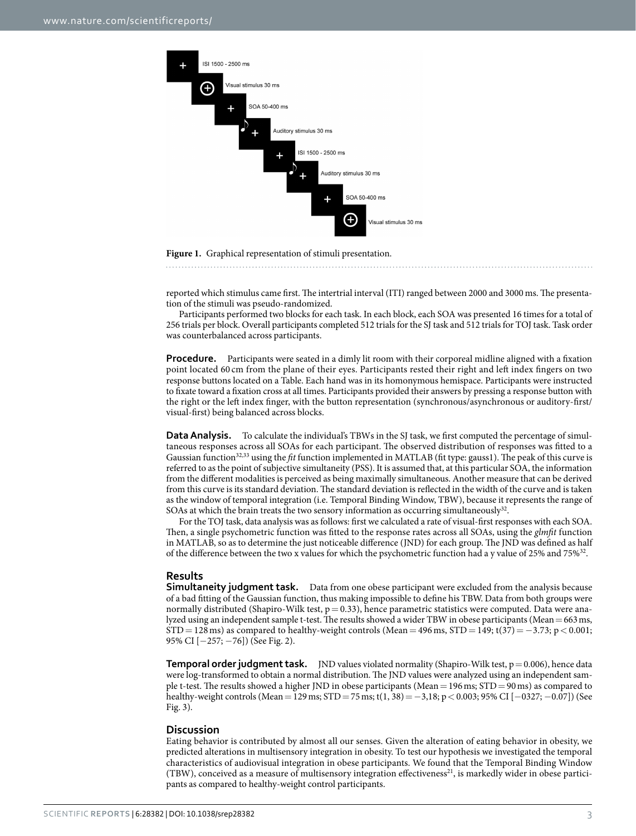

<span id="page-2-0"></span>**Figure 1.** Graphical representation of stimuli presentation.

reported which stimulus came first. The intertrial interval (ITI) ranged between 2000 and 3000 ms. The presentation of the stimuli was pseudo-randomized.

Participants performed two blocks for each task. In each block, each SOA was presented 16 times for a total of 256 trials per block. Overall participants completed 512 trials for the SJ task and 512 trials for TOJ task. Task order was counterbalanced across participants.

**Procedure.** Participants were seated in a dimly lit room with their corporeal midline aligned with a fixation point located 60 cm from the plane of their eyes. Participants rested their right and left index fingers on two response buttons located on a Table. Each hand was in its homonymous hemispace. Participants were instructed to fixate toward a fixation cross at all times. Participants provided their answers by pressing a response button with the right or the left index finger, with the button representation (synchronous/asynchronous or auditory-first/ visual-first) being balanced across blocks.

**Data Analysis.** To calculate the individual's TBWs in the SJ task, we first computed the percentage of simultaneous responses across all SOAs for each participant. The observed distribution of responses was fitted to a Gaussian function<sup>[32,](#page-5-15)33</sup> using the *fit* function implemented in MATLAB (fit type: gauss1). The peak of this curve is referred to as the point of subjective simultaneity (PSS). It is assumed that, at this particular SOA, the information from the different modalities is perceived as being maximally simultaneous. Another measure that can be derived from this curve is its standard deviation. The standard deviation is reflected in the width of the curve and is taken as the window of temporal integration (i.e. Temporal Binding Window, TBW), because it represents the range of SOAs at which the brain treats the two sensory information as occurring simultaneously $33$ .

For the TOJ task, data analysis was as follows: first we calculated a rate of visual-first responses with each SOA. Then, a single psychometric function was fitted to the response rates across all SOAs, using the *glmfit* function in MATLAB, so as to determine the just noticeable difference (JND) for each group. The JND was defined as half of the difference between the two x values for which the psychometric function had a y value of 25% and 75[%32.](#page-5-15)

### **Results**

**Simultaneity judgment task.** Data from one obese participant were excluded from the analysis because of a bad fitting of the Gaussian function, thus making impossible to define his TBW. Data from both groups were normally distributed (Shapiro-Wilk test,  $p = 0.33$ ), hence parametric statistics were computed. Data were analyzed using an independent sample t-test. The results showed a wider TBW in obese participants (Mean= 663ms,  $STD = 128$  ms) as compared to healthy-weight controls (Mean = 496 ms,  $STD = 149$ ; t(37) =  $-3.73$ ; p < 0.001; 95% CI [−257; −76]) (See [Fig. 2](#page-3-0)).

**Temporal order judgment task.** JND values violated normality (Shapiro-Wilk test,  $p = 0.006$ ), hence data were log-transformed to obtain a normal distribution. The JND values were analyzed using an independent sample t-test. The results showed a higher JND in obese participants (Mean= 196ms; STD= 90ms) as compared to healthy-weight controls (Mean = 129 ms; STD = 75 ms; t(1, 38) = −3,18; p < 0.003; 95% CI [−0327; −0.07]) (See [Fig. 3](#page-3-1)).

### **Discussion**

Eating behavior is contributed by almost all our senses. Given the alteration of eating behavior in obesity, we predicted alterations in multisensory integration in obesity. To test our hypothesis we investigated the temporal characteristics of audiovisual integration in obese participants. We found that the Temporal Binding Window (TBW), conceived as a measure of multisensory integration effectiveness<sup>[21](#page-5-4)</sup>, is markedly wider in obese participants as compared to healthy-weight control participants.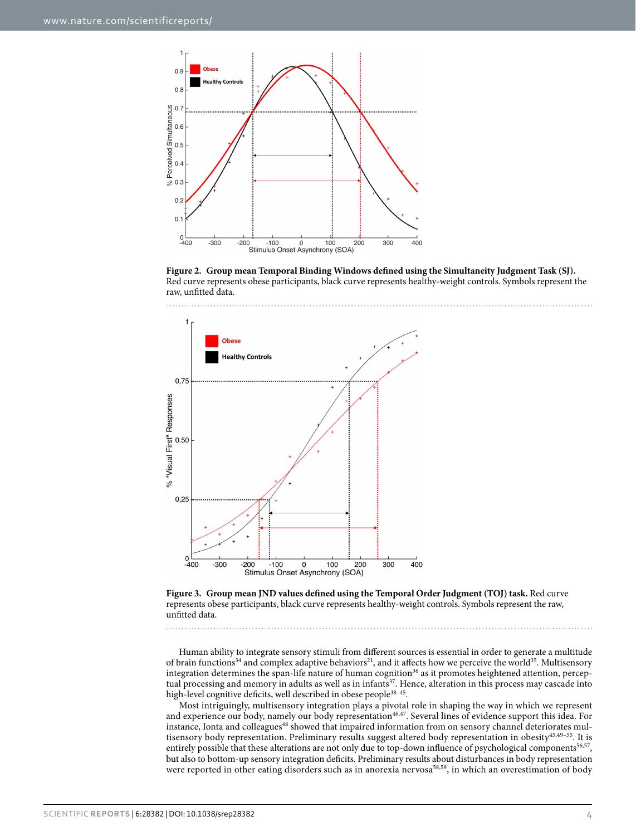

<span id="page-3-0"></span>**Figure 2. Group mean Temporal Binding Windows defined using the Simultaneity Judgment Task (SJ).**  Red curve represents obese participants, black curve represents healthy-weight controls. Symbols represent the raw, unfitted data.



<span id="page-3-1"></span>**Figure 3. Group mean JND values defined using the Temporal Order Judgment (TOJ) task.** Red curve represents obese participants, black curve represents healthy-weight controls. Symbols represent the raw, unfitted data.

Human ability to integrate sensory stimuli from different sources is essential in order to generate a multitude of brain functions<sup>34</sup> and complex adaptive behaviors<sup>[21](#page-5-4)</sup>, and it affects how we perceive the world<sup>35</sup>. Multisensory integration determines the span-life nature of human cognition $36$  as it promotes heightened attention, perceptual processing and memory in adults as well as in infants<sup>37</sup>. Hence, alteration in this process may cascade into high-level cognitive deficits, well described in obese people<sup>38-45</sup>.

Most intriguingly, multisensory integration plays a pivotal role in shaping the way in which we represent and experience our body, namely our body representation<sup>[46](#page-5-22),[47](#page-5-23)</sup>. Several lines of evidence support this idea. For instance, Ionta and colleagues<sup>48</sup> showed that impaired information from on sensory channel deteriorates multisensory body representation. Preliminary results suggest altered body representation in obesit[y45](#page-5-25),[49–55](#page-5-26). It is entirely possible that these alterations are not only due to top-down influence of psychological components<sup>[56,](#page-5-27)57</sup>, but also to bottom-up sensory integration deficits. Preliminary results about disturbances in body representation were reported in other eating disorders such as in anorexia nervosa<sup>58,[59](#page-6-0)</sup>, in which an overestimation of body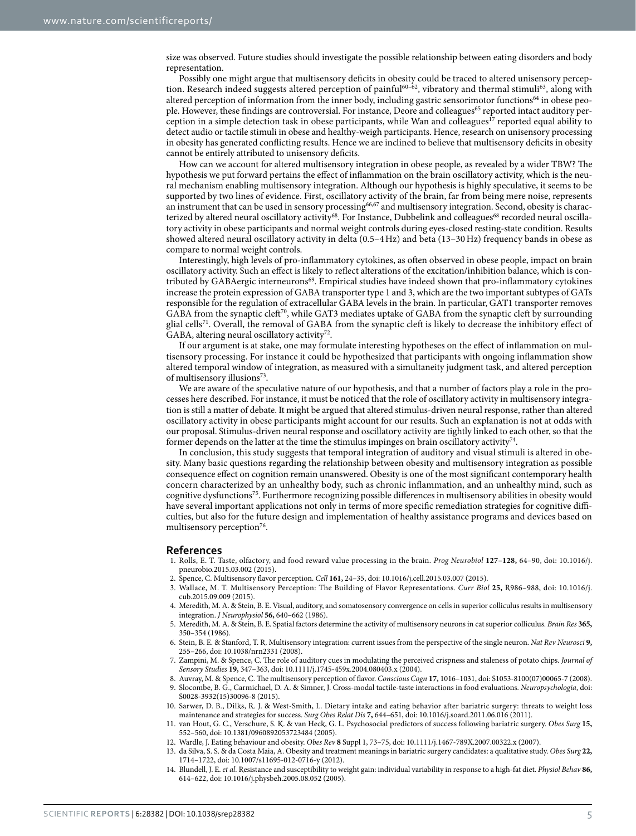size was observed. Future studies should investigate the possible relationship between eating disorders and body representation.

Possibly one might argue that multisensory deficits in obesity could be traced to altered unisensory perception. Research indeed suggests altered perception of painful<sup>60-62</sup>, vibratory and thermal stimuli<sup>63</sup>, along with altered perception of information from the inner body, including gastric sensorimotor functions<sup>64</sup> in obese peo-ple. However, these findings are controversial. For instance, Deore and colleagues<sup>[65](#page-6-4)</sup> reported intact auditory perception in a simple detection task in obese participants, while Wan and colleagues<sup>17</sup> reported equal ability to detect audio or tactile stimuli in obese and healthy-weigh participants. Hence, research on unisensory processing in obesity has generated conflicting results. Hence we are inclined to believe that multisensory deficits in obesity cannot be entirely attributed to unisensory deficits.

How can we account for altered multisensory integration in obese people, as revealed by a wider TBW? The hypothesis we put forward pertains the effect of inflammation on the brain oscillatory activity, which is the neural mechanism enabling multisensory integration. Although our hypothesis is highly speculative, it seems to be supported by two lines of evidence. First, oscillatory activity of the brain, far from being mere noise, represents an instrument that can be used in sensory processing<sup>[66](#page-6-5),[67](#page-6-6)</sup> and multisensory integration. Second, obesity is charac-terized by altered neural oscillatory activity<sup>[68](#page-6-7)</sup>. For Instance, Dubbelink and colleagues<sup>68</sup> recorded neural oscillatory activity in obese participants and normal weight controls during eyes-closed resting-state condition. Results showed altered neural oscillatory activity in delta (0.5–4Hz) and beta (13–30Hz) frequency bands in obese as compare to normal weight controls.

Interestingly, high levels of pro-inflammatory cytokines, as often observed in obese people, impact on brain oscillatory activity. Such an effect is likely to reflect alterations of the excitation/inhibition balance, which is contributed by GABAergic interneurons<sup>69</sup>. Empirical studies have indeed shown that pro-inflammatory cytokines increase the protein expression of GABA transporter type 1 and 3, which are the two important subtypes of GATs responsible for the regulation of extracellular GABA levels in the brain. In particular, GAT1 transporter removes GABA from the synaptic cleft<sup>70</sup>, while GAT3 mediates uptake of GABA from the synaptic cleft by surrounding glial cells<sup>[71](#page-6-10)</sup>. Overall, the removal of GABA from the synaptic cleft is likely to decrease the inhibitory effect of GABA, altering neural oscillatory activity<sup>[72](#page-6-11)</sup>.

If our argument is at stake, one may formulate interesting hypotheses on the effect of inflammation on multisensory processing. For instance it could be hypothesized that participants with ongoing inflammation show altered temporal window of integration, as measured with a simultaneity judgment task, and altered perception of multisensory illusions[73](#page-6-12).

We are aware of the speculative nature of our hypothesis, and that a number of factors play a role in the processes here described. For instance, it must be noticed that the role of oscillatory activity in multisensory integration is still a matter of debate. It might be argued that altered stimulus-driven neural response, rather than altered oscillatory activity in obese participants might account for our results. Such an explanation is not at odds with our proposal. Stimulus-driven neural response and oscillatory activity are tightly linked to each other, so that the former depends on the latter at the time the stimulus impinges on brain oscillatory activity<sup>74</sup>.

In conclusion, this study suggests that temporal integration of auditory and visual stimuli is altered in obesity. Many basic questions regarding the relationship between obesity and multisensory integration as possible consequence effect on cognition remain unanswered. Obesity is one of the most significant contemporary health concern characterized by an unhealthy body, such as chronic inflammation, and an unhealthy mind, such as cognitive dysfunctions<sup>75</sup>. Furthermore recognizing possible differences in multisensory abilities in obesity would have several important applications not only in terms of more specific remediation strategies for cognitive difficulties, but also for the future design and implementation of healthy assistance programs and devices based on multisensory perception<sup>76</sup>.

#### **References**

- <span id="page-4-0"></span>1. Rolls, E. T. Taste, olfactory, and food reward value processing in the brain. *Prog Neurobiol* **127–128,** 64–90, doi: 10.1016/j. pneurobio.2015.03.002 (2015).
- <span id="page-4-1"></span>2. Spence, C. Multisensory flavor perception. *Cell* **161,** 24–35, doi: 10.1016/j.cell.2015.03.007 (2015).
- <span id="page-4-2"></span>3. Wallace, M. T. Multisensory Perception: The Building of Flavor Representations. *Curr Biol* **25,** R986–988, doi: 10.1016/j. cub.2015.09.009 (2015).
- <span id="page-4-3"></span>4. Meredith, M. A. & Stein, B. E. Visual, auditory, and somatosensory convergence on cells in superior colliculus results in multisensory integration. *J Neurophysiol* **56,** 640–662 (1986).
- <span id="page-4-4"></span>5. Meredith, M. A. & Stein, B. E. Spatial factors determine the activity of multisensory neurons in cat superior colliculus. *Brain Res* **365,** 350–354 (1986).
- <span id="page-4-5"></span>6. Stein, B. E. & Stanford, T. R. Multisensory integration: current issues from the perspective of the single neuron. *Nat Rev Neurosci* **9,** 255–266, doi: 10.1038/nrn2331 (2008).
- <span id="page-4-6"></span>7. Zampini, M. & Spence, C. The role of auditory cues in modulating the perceived crispness and staleness of potato chips. *Journal of Sensory Studies* **19,** 347–363, doi: 10.1111/j.1745-459x.2004.080403.x (2004).
- <span id="page-4-8"></span><span id="page-4-7"></span>8. Auvray, M. & Spence, C. The multisensory perception of flavor. *Conscious Cogn* **17,** 1016–1031, doi: S1053-8100(07)00065-7 (2008). 9. Slocombe, B. G., Carmichael, D. A. & Simner, J. Cross-modal tactile-taste interactions in food evaluations. *Neuropsychologia*, doi:
- <span id="page-4-9"></span>S0028-3932(15)30096-8 (2015). 10. Sarwer, D. B., Dilks, R. J. & West-Smith, L. Dietary intake and eating behavior after bariatric surgery: threats to weight loss
	- maintenance and strategies for success. *Surg Obes Relat Dis* **7,** 644–651, doi: 10.1016/j.soard.2011.06.016 (2011).
- 11. van Hout, G. C., Verschure, S. K. & van Heck, G. L. Psychosocial predictors of success following bariatric surgery. *Obes Surg* **15,** 552–560, doi: 10.1381/0960892053723484 (2005).
- 12. Wardle, J. Eating behaviour and obesity. *Obes Rev* **8** Suppl 1, 73–75, doi: 10.1111/j.1467-789X.2007.00322.x (2007).
- <span id="page-4-10"></span>13. da Silva, S. S. & da Costa Maia, A. Obesity and treatment meanings in bariatric surgery candidates: a qualitative study. *Obes Surg* **22,** 1714–1722, doi: 10.1007/s11695-012-0716-y (2012).
- <span id="page-4-11"></span>14. Blundell, J. E. *et al.* Resistance and susceptibility to weight gain: individual variability in response to a high-fat diet. *Physiol Behav* **86,** 614–622, doi: 10.1016/j.physbeh.2005.08.052 (2005).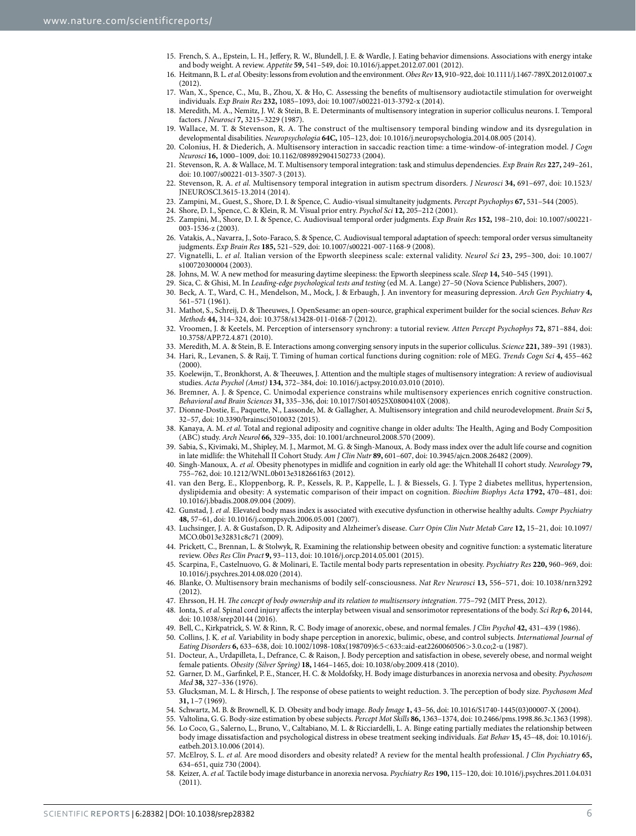- 15. French, S. A., Epstein, L. H., Jeffery, R. W., Blundell, J. E. & Wardle, J. Eating behavior dimensions. Associations with energy intake and body weight. A review. *Appetite* **59,** 541–549, doi: 10.1016/j.appet.2012.07.001 (2012).
- 16. Heitmann, B. L. *et al.* Obesity: lessons from evolution and the environment. *Obes Rev* **13,** 910–922, doi: 10.1111/j.1467-789X.2012.01007.x  $(2012)$
- <span id="page-5-0"></span>17. Wan, X., Spence, C., Mu, B., Zhou, X. & Ho, C. Assessing the benefits of multisensory audiotactile stimulation for overweight individuals. *Exp Brain Res* **232,** 1085–1093, doi: 10.1007/s00221-013-3792-x (2014).
- <span id="page-5-1"></span>18. Meredith, M. A., Nemitz, J. W. & Stein, B. E. Determinants of multisensory integration in superior colliculus neurons. I. Temporal factors. *J Neurosci* **7,** 3215–3229 (1987).
- <span id="page-5-2"></span>19. Wallace, M. T. & Stevenson, R. A. The construct of the multisensory temporal binding window and its dysregulation in developmental disabilities. *Neuropsychologia* **64C,** 105–123, doi: 10.1016/j.neuropsychologia.2014.08.005 (2014).
- <span id="page-5-3"></span>20. Colonius, H. & Diederich, A. Multisensory interaction in saccadic reaction time: a time-window-of-integration model. *J Cogn Neurosci* **16,** 1000–1009, doi: 10.1162/0898929041502733 (2004).
- <span id="page-5-4"></span>21. Stevenson, R. A. & Wallace, M. T. Multisensory temporal integration: task and stimulus dependencies. *Exp Brain Res* **227,** 249–261, doi: 10.1007/s00221-013-3507-3 (2013).
- <span id="page-5-5"></span>22. Stevenson, R. A. *et al.* Multisensory temporal integration in autism spectrum disorders. *J Neurosci* **34,** 691–697, doi: 10.1523/ JNEUROSCI.3615-13.2014 (2014).
- 23. Zampini, M., Guest, S., Shore, D. I. & Spence, C. Audio-visual simultaneity judgments. *Percept Psychophys* **67,** 531–544 (2005).
- <span id="page-5-8"></span><span id="page-5-7"></span><span id="page-5-6"></span>24. Shore, D. I., Spence, C. & Klein, R. M. Visual prior entry. *Psychol Sci* **12,** 205–212 (2001).
- 25. Zampini, M., Shore, D. I. & Spence, C. Audiovisual temporal order judgments. *Exp Brain Res* **152,** 198–210, doi: 10.1007/s00221- 003-1536-z (2003).
- <span id="page-5-9"></span>26. Vatakis, A., Navarra, J., Soto-Faraco, S. & Spence, C. Audiovisual temporal adaptation of speech: temporal order versus simultaneity judgments. *Exp Brain Res* **185,** 521–529, doi: 10.1007/s00221-007-1168-9 (2008).
- <span id="page-5-10"></span>27. Vignatelli, L. *et al.* Italian version of the Epworth sleepiness scale: external validity. *Neurol Sci* **23,** 295–300, doi: 10.1007/ s100720300004 (2003).
- <span id="page-5-11"></span>28. Johns, M. W. A new method for measuring daytime sleepiness: the Epworth sleepiness scale. *Sleep* **14,** 540–545 (1991).
- <span id="page-5-13"></span><span id="page-5-12"></span>29. Sica, C. & Ghisi, M. In *Leading-edge psychological tests and testing* (ed M. A. Lange) 27–50 (Nova Science Publishers, 2007).
- 30. Beck, A. T., Ward, C. H., Mendelson, M., Mock, J. & Erbaugh, J. An inventory for measuring depression. *Arch Gen Psychiatry* **4,** 561–571 (1961).
- <span id="page-5-14"></span>31. Mathot, S., Schreij, D. & Theeuwes, J. OpenSesame: an open-source, graphical experiment builder for the social sciences. *Behav Res Methods* **44,** 314–324, doi: 10.3758/s13428-011-0168-7 (2012).
- <span id="page-5-15"></span>32. Vroomen, J. & Keetels, M. Perception of intersensory synchrony: a tutorial review. *Atten Percept Psychophys* **72,** 871–884, doi: 10.3758/APP.72.4.871 (2010).
- <span id="page-5-17"></span><span id="page-5-16"></span>33. Meredith, M. A. & Stein, B. E. Interactions among converging sensory inputs in the superior colliculus. *Science* **221,** 389–391 (1983). 34. Hari, R., Levanen, S. & Raij, T. Timing of human cortical functions during cognition: role of MEG. *Trends Cogn Sci* **4,** 455–462
- <span id="page-5-18"></span>(2000). 35. Koelewijn, T., Bronkhorst, A. & Theeuwes, J. Attention and the multiple stages of multisensory integration: A review of audiovisual studies. *Acta Psychol (Amst)* **134,** 372–384, doi: 10.1016/j.actpsy.2010.03.010 (2010).
- <span id="page-5-19"></span>36. Bremner, A. J. & Spence, C. Unimodal experience constrains while multisensory experiences enrich cognitive construction. *Behavioral and Brain Sciences* **31,** 335–336, doi: 10.1017/S0140525X0800410X (2008).
- <span id="page-5-20"></span>37. Dionne-Dostie, E., Paquette, N., Lassonde, M. & Gallagher, A. Multisensory integration and child neurodevelopment. *Brain Sci* **5,** 32–57, doi: 10.3390/brainsci5010032 (2015).
- <span id="page-5-21"></span>38. Kanaya, A. M. *et al.* Total and regional adiposity and cognitive change in older adults: The Health, Aging and Body Composition (ABC) study. *Arch Neurol* **66,** 329–335, doi: 10.1001/archneurol.2008.570 (2009).
- 39. Sabia, S., Kivimaki, M., Shipley, M. J., Marmot, M. G. & Singh-Manoux, A. Body mass index over the adult life course and cognition in late midlife: the Whitehall II Cohort Study. *Am J Clin Nutr* **89,** 601–607, doi: 10.3945/ajcn.2008.26482 (2009).
- 40. Singh-Manoux, A. *et al.* Obesity phenotypes in midlife and cognition in early old age: the Whitehall II cohort study. *Neurology* **79,** 755–762, doi: 10.1212/WNL.0b013e3182661f63 (2012).
- 41. van den Berg, E., Kloppenborg, R. P., Kessels, R. P., Kappelle, L. J. & Biessels, G. J. Type 2 diabetes mellitus, hypertension, dyslipidemia and obesity: A systematic comparison of their impact on cognition. *Biochim Biophys Acta* **1792,** 470–481, doi: 10.1016/j.bbadis.2008.09.004 (2009).
- 42. Gunstad, J. *et al.* Elevated body mass index is associated with executive dysfunction in otherwise healthy adults. *Compr Psychiatry* **48,** 57–61, doi: 10.1016/j.comppsych.2006.05.001 (2007).
- 43. Luchsinger, J. A. & Gustafson, D. R. Adiposity and Alzheimer's disease. *Curr Opin Clin Nutr Metab Care* **12,** 15–21, doi: 10.1097/ MCO.0b013e32831c8c71 (2009).
- 44. Prickett, C., Brennan, L. & Stolwyk, R. Examining the relationship between obesity and cognitive function: a systematic literature review. *Obes Res Clin Pract* **9,** 93–113, doi: 10.1016/j.orcp.2014.05.001 (2015).
- <span id="page-5-25"></span>45. Scarpina, F., Castelnuovo, G. & Molinari, E. Tactile mental body parts representation in obesity. *Psychiatry Res* **220,** 960–969, doi: 10.1016/j.psychres.2014.08.020 (2014).
- <span id="page-5-22"></span>46. Blanke, O. Multisensory brain mechanisms of bodily self-consciousness. *Nat Rev Neurosci* **13,** 556–571, doi: 10.1038/nrn3292 (2012).
- <span id="page-5-23"></span>47. Ehrsson, H. H. *The concept of body ownership and its relation to multisensory integration*. 775–792 (MIT Press, 2012).
- <span id="page-5-24"></span>48. Ionta, S. *et al.* Spinal cord injury affects the interplay between visual and sensorimotor representations of the body. *Sci Rep* **6,** 20144, doi: 10.1038/srep20144 (2016).
- <span id="page-5-26"></span>49. Bell, C., Kirkpatrick, S. W. & Rinn, R. C. Body image of anorexic, obese, and normal females. *J Clin Psychol* **42,** 431–439 (1986).
- 50. Collins, J. K. *et al.* Variability in body shape perception in anorexic, bulimic, obese, and control subjects. *International Journal of Eating Disorders* **6,** 633–638, doi: 10.1002/1098-108x(198709)6:5<633::aid-eat2260060506>3.0.co;2-u (1987).
- 51. Docteur, A., Urdapilleta, I., Defrance, C. & Raison, J. Body perception and satisfaction in obese, severely obese, and normal weight female patients. *Obesity (Silver Spring)* **18,** 1464–1465, doi: 10.1038/oby.2009.418 (2010).
- 52. Garner, D. M., Garfinkel, P. E., Stancer, H. C. & Moldofsky, H. Body image disturbances in anorexia nervosa and obesity. *Psychosom Med* **38,** 327–336 (1976).
- 53. Glucksman, M. L. & Hirsch, J. The response of obese patients to weight reduction. 3. The perception of body size. *Psychosom Med* **31,** 1–7 (1969).
- 54. Schwartz, M. B. & Brownell, K. D. Obesity and body image. *Body Image* **1,** 43–56, doi: 10.1016/S1740-1445(03)00007-X (2004).
- 55. Valtolina, G. G. Body-size estimation by obese subjects. *Percept Mot Skills* **86,** 1363–1374, doi: 10.2466/pms.1998.86.3c.1363 (1998).
- <span id="page-5-27"></span>56. Lo Coco, G., Salerno, L., Bruno, V., Caltabiano, M. L. & Ricciardelli, L. A. Binge eating partially mediates the relationship between body image dissatisfaction and psychological distress in obese treatment seeking individuals. *Eat Behav* **15,** 45–48, doi: 10.1016/j. eatbeh.2013.10.006 (2014).
- <span id="page-5-28"></span>57. McElroy, S. L. *et al.* Are mood disorders and obesity related? A review for the mental health professional. *J Clin Psychiatry* **65,** 634–651, quiz 730 (2004).
- <span id="page-5-29"></span>58. Keizer, A. *et al.* Tactile body image disturbance in anorexia nervosa. *Psychiatry Res* **190,** 115–120, doi: 10.1016/j.psychres.2011.04.031 (2011).